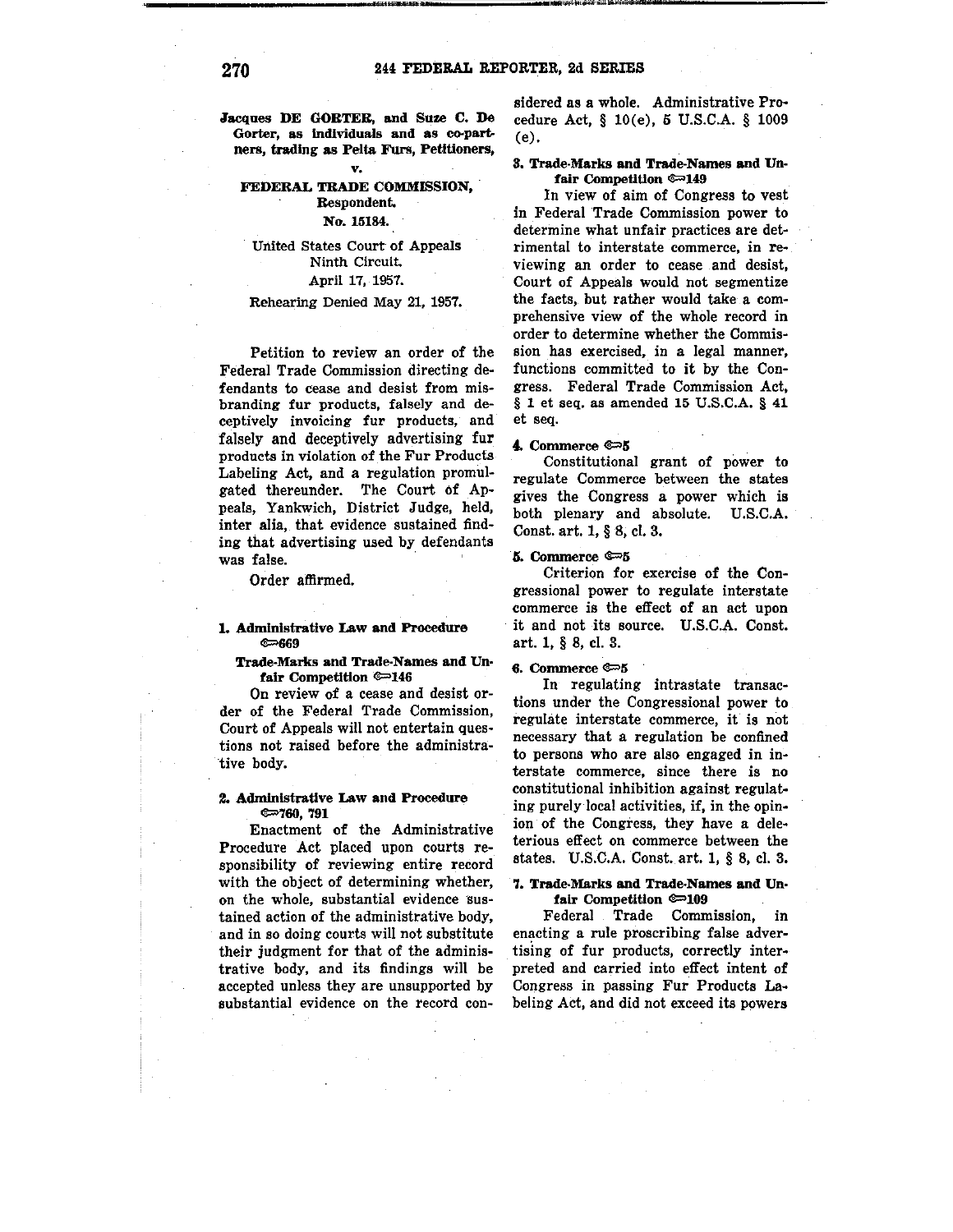.Jacques DE GORTER, and Suze C. De **Gorter, as Individuals and as co-partners, trading as Pelt& Furs, Petitioners,** 

## **v. FEDERAL TRADE COMMISSION, Respondent.**

## **No. 15184.**

## United States Court of Appeals Ninth Circuit. April 17, 1957.

#### Rehearing Denied May 21, 1957.

Petition to review an order of the Federal Trade Commission directing defendants to cease and desist from mis**branding fur products, falsely and deceptively invoicing fur products, and**  falsely and deceptively advertising fur **products in violation of the Fur Products**  Labeling Act, and a regulation promulgated thereunder. The Court of Ap**peals, Yankwich, District Judge, held,**  inter alia, that evidence sustained finding that advertising used by defendants was false.

Order affirmed.

#### **1. Administrative Law and Procedure**   $\epsilon$

**Trade-Marks and Trade-Names and Unfair Competition @ 146** 

On review of a cease and desist or**der of the Federal Trade Commission,**  Court of Appeals will not entertain questions not raised before the administrative body.

### **2. Administrative Law and Procedure**   $@=760,791$

Enactment of the Administrative Procedure Act placed upon courts re**sponsibility of reviewing entire record**  with the object of determining whether, on the whole, substantial evidence sus**tained action of the administrative body,**  and in so doing courts will not substitute their judgment for that of the administrative body, and its findings will be accepted unless they are unsupported by **substantial evidence on the record con-**

sidered as a whole. Administrative Procedure Act, § l0(e), 5 U.S.C.A. § 1009 (e).

#### **S. Trade-Marks and Trade-Names and Unfair Competition**  $\approx 149$

In view of aim of Congress to vest in Federal Trade Commission power to **determine what unfair practices are detrimental to interstate commerce, in re**viewing an order to cease and desist, Court of Appeals would not segmentize the facts, but rather would take a comprehensive view of the whole record in **order to determine whether the Commission has exercised, in a legal manner,**  functions committed to it by the Congress. Federal Trade Commission Act, § 1 et seq. as amended 15 U.S.C.A. § 41 et seq.

#### 4. Commerce  $\approx 5$

**Constitutional grant of power to regulate Commerce between the states**  gives the Congress a power which **is**  both plenary and absolute. U.S.C.A. Const. art. 1, § 8, cl. 3.

### 5. Commerce  $\approx 5$

Criterion for exercise of the Con**gressional power to regulate interstate**  commerce is the effect of an act upon it and not its source. U.S.C.A. Const. art. 1, § 8, cl. 3.

#### **6. Commerce**  $\approx 5$

In regulating intrastate transactions under the Congressional power to regulate interstate commerce, it is not necessary that a regulation be confined **to persons who are also engaged in interstate commerce, since there is no**  constitutional inhibition against regulating purely local activities, if, in the opinion of the Congress, they have a deleterious effect on commerce between the states. U.S.C.A. Const. art. **1,** § 8, cl. 3.

### 7. Trade-Marks **and** Trade-Names and Un• **fair Competition @0.109**

**Federal Trade Commission, in**  enacting a rule proscribing false advertising of fur products, correctly interpreted and carried into effect intent of **Congress in passing Fur Products La**beling Act, and did not exceed its powers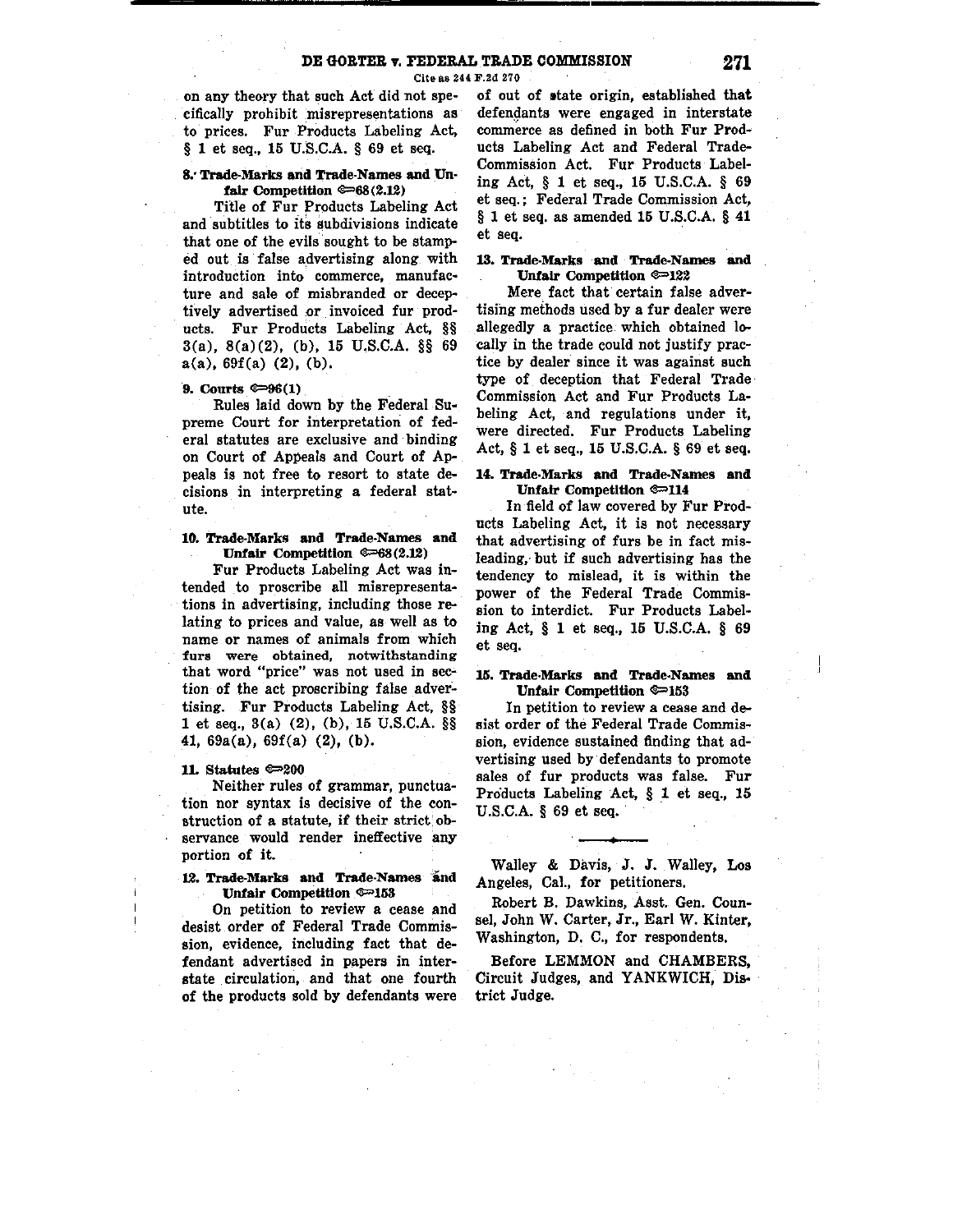Cite as 244 F.2d 270

on any theory that such Act did not specifically prohibit misrepresentations as to prices. Fur Products Labeling Act, § 1 et seq., 15 U.S.C.A. § 69 et seq.

### **8,· Trade-Marks and Trade-Names and Unfair Competition**  $\mathcal{P}$ **68(2.12)**

Title of Fur Products Labeling Act and subtitles to its subdivisions indicate that one of the evils sought to be stamped out is false advertising along with introduction into commerce, manufac• ture and sale of misbranded or deceptively advertised .or invoiced fur products. Fur Products Labeling Act, §§ 3(a), 8(a)(2), (b), 15 U.S.C.A. §§ 69 a(a), 69f(a) (2), (b),

# **9. Courts ®=>96(1)**

Rules laid down by the Federal Supreme Court for interpretation of federal statutes are exclusive and binding on Court of Appeals and Court of Appeals is not free to resort to state decisions in interpreting a federal statute.

### **10. Trade-Marks and Trade-Names and Unfair Competition ©=68(2.12)**

Fur Products Labeling Act was intended to proscribe all misrepresentations in advertising, including those relating to prices and value, as well as to name or names of animals from which furs were obtained, notwithstanding that word "price" was not used in section of the act proscribing false advertising. Fur Products Labeling Act, §§ 1 et seq., 3(a) (2), (b), 15 U.S.C.A. §§ 41, 69a(a), 69f(a) (2), (b),

#### IL Statutes ®=>200

Neither rules of grammar, punctuation nor syntax is decisive of the construction of a statute, if their strict observance would render ineffective any portion of it.

## 12. Trade-Marks and Trade-Names and Unfair Competition ®=153

On petition to review a cease and desist order of Federal Trade Commission, evidence, including fact that defendant advertised in papers in interstate circulation, and that one fourth of the products sold by defendants were of out of otate origin, established that defendants were engaged in interstate commerce as defined in both Fur Products Labeling Act and Federal Trade-Commission Act. Fur Products Labeling Act, § 1 et seq., 15 U.S.C.A. § 69 et seq.; Federal Trade Commission Act, § 1 et seq. as amended 15 U.S.C.A. § **41**  et seq.

### 13. **Trade-Marks and Trade-Names and Unfair** Competition ®=>122

Mere fact that certain false advertising methods used by a fur dealer were allegedly a practice which obtained locally in the trade could not justify practice by dealer since it was against such type of deception that Federal Trade· Commission Act and Fur Products Labeling Act, and regulations under it, were directed. Fur Products Labeling Act, § 1 et seq., 15 U.S.C.A. § 69 et seq.

### 14. Trade-Marks **and** Trade-Names **and Unfair Competition ®=>114**

In field of law covered by Fur Products Labeling Act, it is not necessary that advertising of furs be in fact misleading, but if such advertising has the tendency to mislead, it is within the power of the Federal Trade Commission to interdict. Fur Products Labeling Act, § 1 et seq., 15 U.S.C.A. § 69 et seq.

### 15. Trade-Marks and Trade-Names and **Unfair Competition ®=>153**

In petition to review a cease and desist order of the Federal Trade Commission, evidence sustained finding that advertising used by defendants to promote sales of fur products was false. Fur Products Labeling Act, § 1 et seq., 15 U.S.C.A. § 69 et seq.

Walley & Davis, J. J. Walley, Los Angeles, Cal., for petitioners.

Robert B. Dawkins, Asst. Gen. Counsel, John W. Carter, Jr., Earl W. Kinter, Washington, D. C., for respondents.

Before LEMMON and CHAMBERS, Circuit Judges, and YANKWICH, District Judge.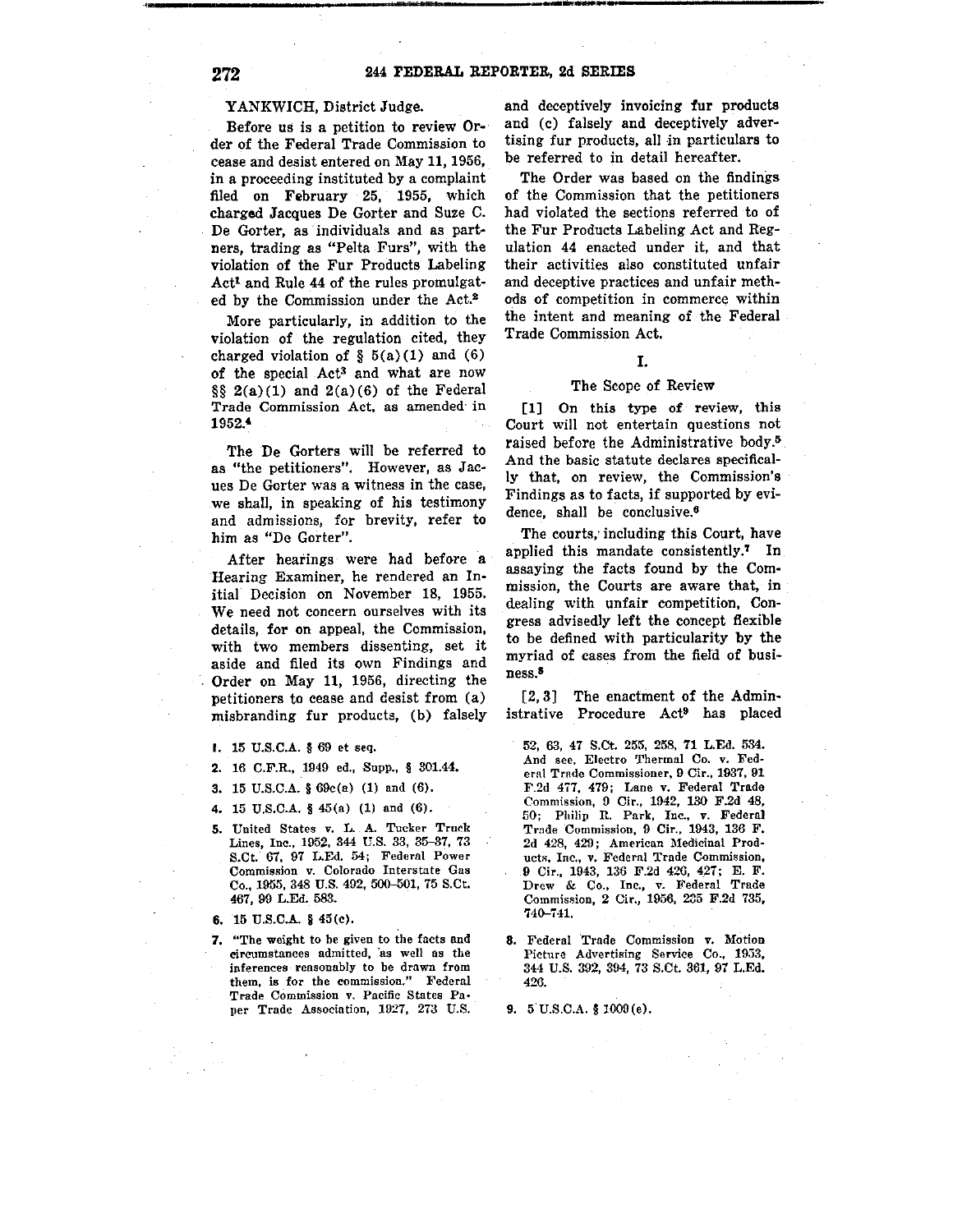----------------------------·-------------

#### YANKWICH, District Judge.

Before us is a petition to review Qr.. der of the Federal Trade Commission to cease and desist entered on May **11,** 1956, in a proceeding instituted by a complaint filed on February 25, 1955, which charged Jacques De Gorter and Suze C. De Gorter, as individuals and as partners, trading as "Pelta Furs", with the violation of the Fur Products Labeling Act1 and Rule 44 of the rules promulgated by the Commission under the Act.<sup>2</sup>

More particularly, in addition to the violation of the regulation cited, they charged violation of  $\S$  5(a)(1) and (6) of the special Act3 and what are now §§ 2(a)(1) and 2(a)(6) of the Federal Trade Commission Act. as amended· in 1952.•

The De Gorters will be referred to as "the petitioners". However, as Jacues De Gorter was a witness in the case, we shall, in speaking of his testimony and admissions, for brevity, refer to him as "De Gorter".

After hearings were had before a Hearing Examiner, he rendered an Initial Decision on November 18, 1955. We need not concern ourselves with its details, for on appeal, the Commission, with two members dissenting, set it aside and filed its own Findings and Order on May 11, 1956, directing the petitioners to cease and desist from (a) misbranding fur products, (b) falsely

- I. 15 U.S.C.A. § 69 et seq.
- 2. 16 C.F.R., 1949 ed., Supp., § 301.44.
- 3. 15 U.S.C.A. § 69c(a) (1) and (6).
- 4. 15 U.S.C.A. § 45(a) (1) and (6).
- 5. United States v. L. A. Tucker Truck Lines, Inc., 1952, 344 U.S. 33, 35-37, 73 S.Ct. 67, 97 L.Ed. 54; Federal Power Commission v. Colorado Interstate Gas Co., 1955, 348 U.S. 492, 506-501, 75 S.Ct. 467, 99 L.Ed. 583.
- 6.  $15$  U.S.C.A.  $\S$   $45(c)$ .
- **7,** "The weight to be given to the facts and circumstances admitted, as well as the inferences reasonably to be drawn from them, is for the commission." Federal Trade Commission v. Pacific States Paper Trade Association, 1927, 273 U.S.

and deceptively invoicing **fur** products and (c) falsely and deceptively advertising fur products, all in particulars to be referred to in detail hereafter.

The Order was based on the findings of the Commission that the petitioners had violated the sections referred to of the Fur Products Labeling Act and Regulation 44 enacted under it, and that their activities also constituted unfair and deceptive practices and unfair methods of competition in commerce within the intent and meaning of the Federal Trade Commission Act.

## I.

### The Scope of Review

**[l]** On this type of review, this Court will not entertain questions not raised before the Administrative body.<sup>5</sup> And the basic statute declares specifically that, on review, the Commission's Findings as to facts, if supported by evidence, shall be conclusive.<sup>6</sup>

The courts, including this Court, have applied this mandate consistently.' In assaying the facts found by the Commission, the Courts are aware that, in dealing with unfair competition, Congress advisedly left the concept flexible to be defined with particularity by the myriad of cases from the field of business.8

(2, 3] The enactment of the Administrative Procedure Act• has placed

- 52, 63, 47 S.Ct. 255, 258, 71 L.Ed. 534. And see, Electro Thermal Co. v. Federnl Trnde Commissioner, 9 Cir., 1937, 91 F.2d 477, 479; Lane v. Federal Trade Commission, 0 Cir., 1942, 130 F.2d 48, 50; Philip n, Park, Inc., v. Federa) Trade Commission, 9 Cir., 1943, 136 F. 2d 428, 429; American Medicinal Products, Inc., v. Federal Trade Commission, 9 Ci,., 1943, 136 F.2d 420, 427; E. F. Drew & Co., Inc., v. Federal Trade Commission, 2 Cir., 1956, 235 F.2d 735, 740-741.
- **8.** Federal 'Trade Commission v. Motion Picture Advertising Service Co., 1933, 344 U.S. 392, 394, 73 S.Ct. 361, 97 L.Ed. 426.

**9. 5** U.S.C.A. § 1009(e).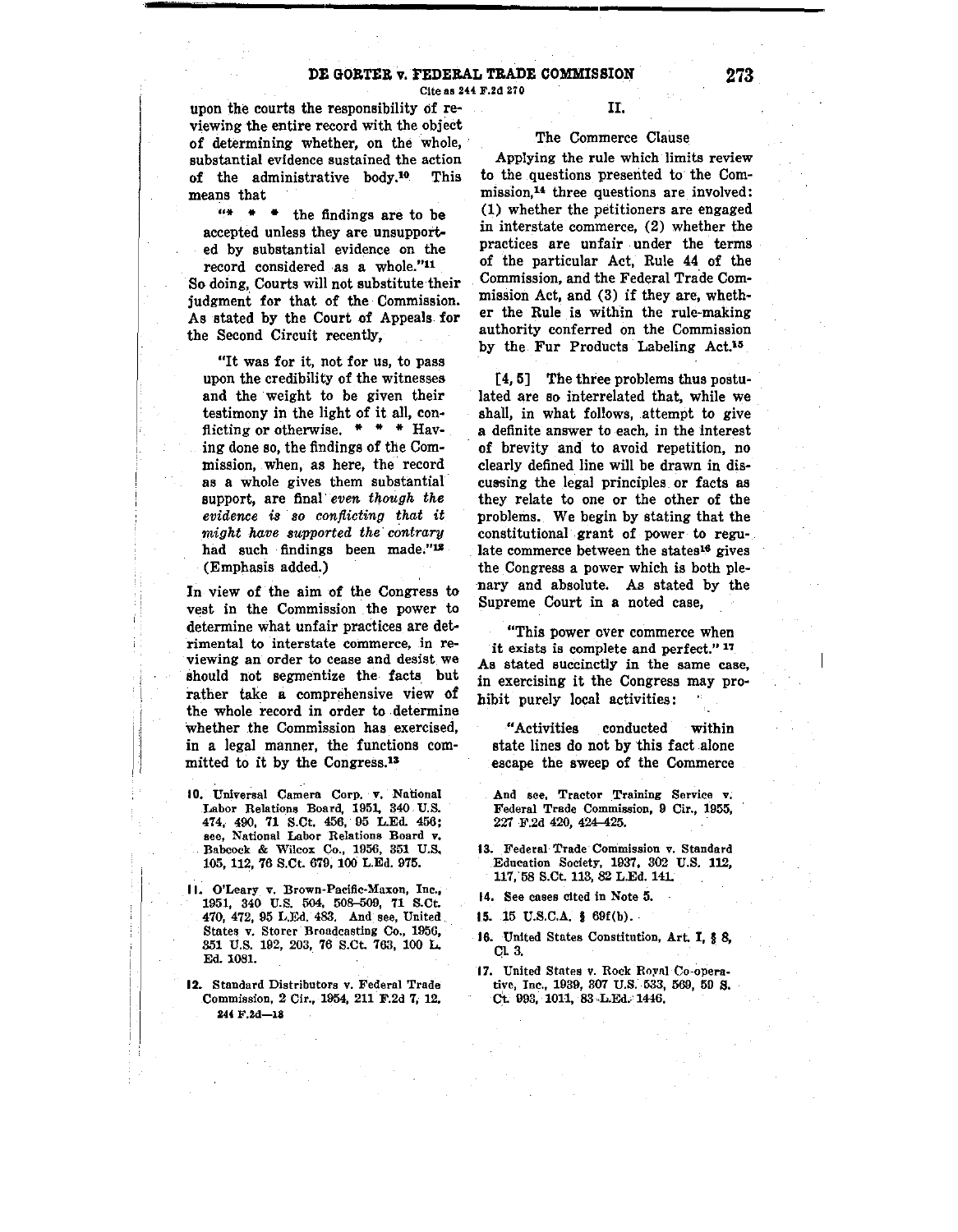Cite as 244 F.2d 270

upon the courts the responsibility of reviewing the entire record with the object of determining whether, on the whole, substantial evidence sustained the action of the administrative body.10 This means that

 $"$  \* \* the findings are to be accepted unless they are. unsupported by substantial evidence on the

record considered as a whole."<sup>11</sup> So doing, Courts will not substitute their judgment for that of the Commission. As stated by the Court of Appeals. for the Second Circuit recently,

"It was for it, not for us, to pass upon the credibility of the witnesses and the weight to be given their testimony in the light of it all, con• flicting or otherwise. \* \* \* Having done so, the findings of the Commission, when, as here, the record as a whole gives them substantial support, are final· *even though the*   $e$ *vidence* is so *conflicting* that it *might have supported the contrary*  had such findings been made."<sup>12</sup> (Emphasis added.)

In view of the aim of the Congress to vest in the Commission the power to determine what unfair practices are det• rimental to interstate commerce, in reviewing an order to cease and desist we should not segmentize the facts\_ but rather take a comprehensive view of the whole record in order to determine Whether the Commission has exercised, in a legal manner, the functions committed to it by the [Congress.13](https://Congress.13)

I

- 10. Universal Camera Corp. v. National Labor Relations Board, 1951, 340 U.S. 4 7 4, 490, 71 S.Ct. 456, 95 L.Ed. 456: see, National Labor Relations Board v. Babcock & Wilcox Co., 1956, 351 U.S. 105, 112, 76 S.Ct. 679, **100** L.Ed. 975.
- 11. O'Leary v. Brown-Pacific-Maxon, Inc., 1951, 340 U.S. 504, 508-509, 71 S.Ct. 470, 472, 95 L.Ed. 483. And see, United States v. Storer-Broadcasting Co., 1956, 351 U.S. 192, 203, 76 S.Ct. 763, 100 L. Ed. 1081.
- 12. Standard Distributors v. Federal Trade Commission, 2 Cir., 1954, 211 F.2d 7, 12. 244 F.2d-18

### II.

## The Commerce Clause

Applying the rule which limits review to the questions presented to the Commission,<sup>14</sup> three questions are involved: (1) whether the petitioners are engaged in interstate commerce, (2) whether the practices are unfair under the terms of the particular Act, Rule **44** of the Commission, and the Federal Trade Commission Act, and (3) if they are, wheth**er** the Rule is within the rule-making authority conferred on the Commission by the Fur Products Labeling Act.<sup>15</sup>

[**4, 5)** The three problems thus postulated are so interrelated that, while we shall, in what follows, attempt to give a definite answer to each, in the interest of brevity and to avoid repetition, no clearly defined line will be drawn in discussing the legal principles or facts as they relate to one or the other of the problems. We begin by stating that the constitutional· grant of power to regulate commerce between the states16 gives the Congress a power which is both plenary and absolute. As stated by the Supreme Court in a noted case,

"This power over commerce when it exists is complete and perfect."<sup>17</sup> As stated succinctly in the same case, in exercising it the Congress may pro• hibit purely local activities:

"Activities conducted within state lines do not by this fact alone escape the sweep of the Commerce

And see, Tractor Training Service v; Federal Trade Commission, 9 Cir., 1955, 227 F.2d 420, 424-425.

- 13. Federal Trade Commission v. Standard Education Society, 1937. 302 U.S. 112, 117, 58 S.Ct. 113, 82 L.Ed. 141.
- 14. See cases cited in Note 5.
- **15. 15 U.S.C.A. § 69f(b).**
- 16. United States Constitution, Art. I, f 8, CL 3.
- 17. United States v. Rock Royal Co-operative, Inc., 1939, 307 U.S. 533, 569, 50 **S.**  Ct. 993, 1011, 83 L.Ed. 1446.

**273**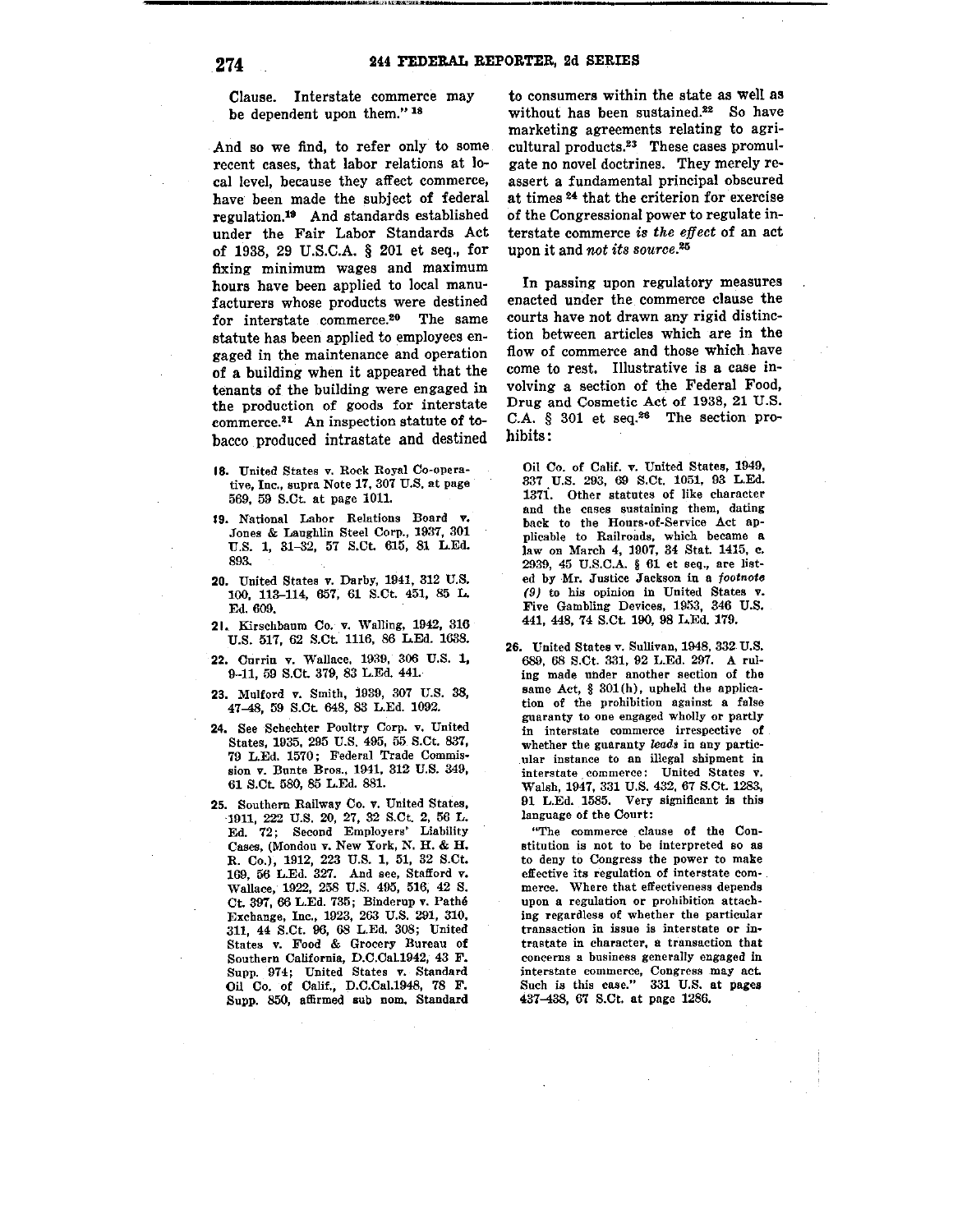---------------..,·-----------------------------

Clause. Interstate commerce may be dependent upon them."<sup>18</sup>

And so we find, to refer only to some recent cases, that labor relations at local level, because they affect commerce, have been made the subject of federal [regulation.19](https://regulation.19) And standards established under the Fair Labor Standards Act of 1938, 29 U.S.C.A. § 201 et seq., for fixing minimum wages and maximum hours have been applied to local manufacturers whose products were destined for interstate [commerce.20](https://commerce.20) The same statute has been applied to employees engaged in the maintenance and operation of a building when it appeared that the tenants of the building were engaged in the production of goods for interstate [commerce.21](https://commerce.21) An inspection statute of tobacco produced intrastate and destined

- 18. United States v. Rock Royal Co-operative, Inc., supra Note 17,307 U.S. at page 569, 59 S.Ct. at page 1011.
- 19. National Labor Relations Board v. .Tones & Laughlin Steel Corp., 1937, 301 U.S. 1, 31-32, 57 S.Ct. 615, 81 L.Ed. 893.
- 20. United States v. Darby, 1941, 312 U.S. 100, 113-114, 657, 61 S.Ct 451, 85 L. Ed. 609.
- 21. Kirschbaum Co. v. Walling, 1942, 316 U.S. 517, 62 S.Ct. 1116, 86 L.Ed. 1638.
- 22. Currin v. Wallace, 1939, 306 U.S. 1, 9-11, 59 S.Ct. 379, 83 L.Ed. 441.
- **23.** Mulford **v.** Smith, 1939, 307 U.S. 38, 47-48, 59 S.Ct. 648, 83 L.Ed. 1092.
- 24. See Schechter Poultry Corp. v. United States, 1935. 295 U.S. 495, 55 S.Ct. 837, 79 L.Ed. 1570 ; Federal Trade Commis• sion v. Bunte Bros., 1941, 312 U.S. 349, 61 S.Ct 580, 85 L.Ed. 881.
- 25. Southern Railway Co. v. United States, 1911, 222 U.S. 20, 27, 32 S.Ct. 2, 56 L. Ed. 72; Second Employers' Liability Cases, (Mondou v. New York, N. H. & H. R. Co.), 1912, 223 U.S. 1, 51, 32 S.Ct. 169, 56 L.Ed. 327. And see, Stafford v. Wallace, 1922, 258 U.S. 495, 516, 42 S. Ct. 397, 66 L.Ed. 735; Binderup v. Pathe Exchange, Inc., 1923, 263 U.S. 291, 310, 311, 44 S.Ct. 96, 68 L.Ed. 308; United States v. Food & Grocery Bureau of Southern California, D.C.Cal.1942, 43 F. Supp. 974; United States v. Standard Oil Co. of Calif., D.C.Cal.1948, 78 F. Supp. 850, affirmed sub nom. Standard

to consumers within the state as well as without has been [sustained.](https://sustained.22)<sup>22</sup> So have marketing agreements relating to agricultural [products.23](https://products.23) These cases promulgate no novel doctrines. They merely reassert a fundamental principal obscured at times<sup>24</sup> that the criterion for exercise of the Congressional power to regulate interstate commerce is the effect of an act upon it and *not its [source.](https://source.20)*<sup>20</sup>

In passing upon regulatory measures enacted under the commerce clause the courts have not drawn any rigid distinction between articles which are in the flow of commerce and those which have come to rest. Illustrative is a case involving a section of the Federal Food, Drug and Cosmetic Act of 1938, 21 U.S. C.A.  $§$  301 et seq.<sup>26</sup> The section prohibits:

Oil Co. of Calif. v. United States, 1949, 337 U.S. 293, 69 S.Ct. 1051, 93 L.Ed. 137i. Other statutes of like character and the cases sustaining them, dating back to the Hours-of-Service Act applicable to Railroads, which became a law on March 4, 1907, 34 Stat. 1415, c. 2939, 45 U.S.C.A. § 61 et seq., are listed by Mr. Justice Jackson in a footnote (9) to his opinion in United States v. Five Gambling Devices, 1953, 346 U.S. 441, 448, 74 S.Ct. 190, 98 L.Ed. 179.

26. United States v. Sullivan, 1948, 332 U.S. 689, 68 S.Ct. 331, 92 L.Ed. 297. A ruling made under another section of the same Act, § 301 (h), upheld the application of the prohibition against a false guaranty to one engaged wholly or partly in interstate commerce irrespective of whether the guaranty leads in any particular instance to an illegal shipment in interstate commerce: United States v. Walsh, 1947, 331 U.S. 432, 67 S.Ct. 1283, 91 L.Ed. 1585. Very significant is this language of the Court:

"The commerce clause of the Constitution is not to be interpreted so as to deny to Congress the power to make effective its regulation of interstate commerce. Where that effectiveness depends upon a regulation or prohibition attaching regardless of whether the particular transaction in issue is interstate or in• trnstate in character, a transaction that concerns a business generally engaged in interstate commerce, Congress may act. Such is this case." 331 U.S. at pages 437-438, 67 S.Ct. at page 1286.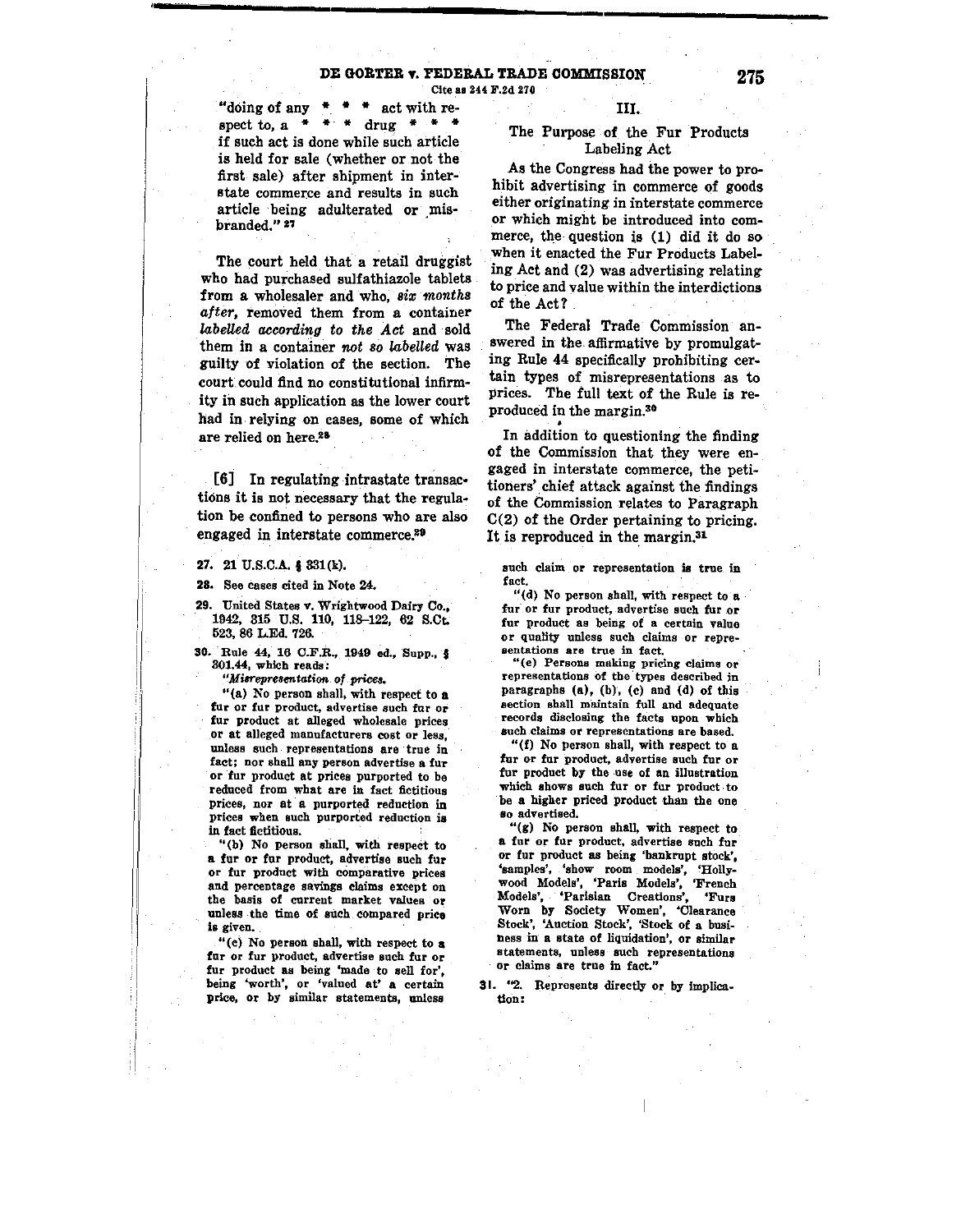# **DE GORTER v. FEDERAL TRADE COMMISSION 1275**

Cite as 244 F.2d 270

"doing of any  $*$   $*$   $*$  act with respect to,  $a + + +$  drug  $* + +$ if such act is done while such article is held for sale (whether or not the first sale) after shipment in interstate commerce and results in such article being adulterated **or** \_misbranded." 21

The court held that a retail druggist who had purchased sulfathiazole tablets from a wholesaler and who, six months *after,* removed them from a container *labelled according to the Act* and sold them in a container *not so labelled* was guilty of violation of the section. The court.could find no constitutional infirmity in such application as the lower court had in relying on cases, some of which are relied on here.<sup>28</sup>

[6] In regulating intrastate transactions it is not necessary that the regulation be confined to persons who are also engaged in interstate commerce.<sup>29</sup>

27. 21 U.S.C.A. § 331(k).

28. See cases cited in Note 24.

29. United States v. Wrightwood Dairy Co., 1942, 315 U.S. 110, 118-122, 62 S.Ct. 523, 86 L.Ed. 726.

30. Rule 44, 16 C.F.R., 1949 ed., Supp., § 301.44, which reads:

*"Milrepresentatioo of prices.* 

"{a) No person shall, with respect to a fur or fur product, advertise such fur or fur product at alleged wholesale prices or at alleged manufacturers cost or less, unless such representations are true in fact; nor shall any person advertise a fur or fur product at prices purported to be reduced from what are in fact fictitious prices, nor at a purported reduction in prices when such purported reduction is in fact fictitious.

••(b) No person shall, with respect to a fur or fur product, advertise such fur or fur product with comparative prices and percentage savings claims except on the basis of current market values *ot*  unless the time of such compared price is given.

"(e) No person shall, with respect to a fur or fur product, advertise such fur or fur product as being 'made to sell for' being 'worth', or 'valued at' a certain price, or by similar statements, unless

#### III.

### The Purpose of the Fur Products Labeling Act

As the Congress had the power to prohibit advertising in commerce of goods either originating in interstate commerce or which might be introduced into commerce, the question is (1) did it do so .when it enacted the Fur Products Labeling Act and **(2)** was advertising relating to price and value within the interdictions of the Act?

The Federal Trade Commission answered in the. affirmative by promulgating Rule 44 specifically prohibiting certain types of misrepresentations as to prices. The full text of the Rule is reproduced in the margin.<sup>30</sup>

**In addition to questioning the finding** of the Commission that they were engaged in interstate commerce, the petitioners' chief attack against the findings of the Commission relates to Paragraph C(2) of the Order pertaining to pricing. It is reproduced in the margin.<sup>31</sup>

such claim or representation is true in fact.

"(d) No person shall, with respect to a fur or fur product, advertise such fur or fur product as being of a certain value or quality unless such claims or representations are true in fact.

"(e) Persons making pricing claims or representations of the types described in paragraphs (a), (b), (c) and (d) of this section shall maintain full and adequate records disclosing the facts upon which such claims or representations are based.

"(f) No person shall, with respect to a fur or fur product, advertise such fur or fur product by the use of an illustration which shows such fur or fur product to be a higher priced product than the one so advertised.

 $``(g)$  No person shall, with respect to a fur or fur product, advertise such fur or fur product as being 'bankrupt stock', 'samples', 'show room models', 'Hollywood Models', 'Paris Models', 'French Models', 'Parisian Creations', 'Fura Worn by Society Women', 'Clearance Stock', 'Auction Stock', 'Stock of a business in a state of liquidation', or similar statements, unless such representations or claims are true in fact."

31. *'42.* Represents directly or\_ by implication: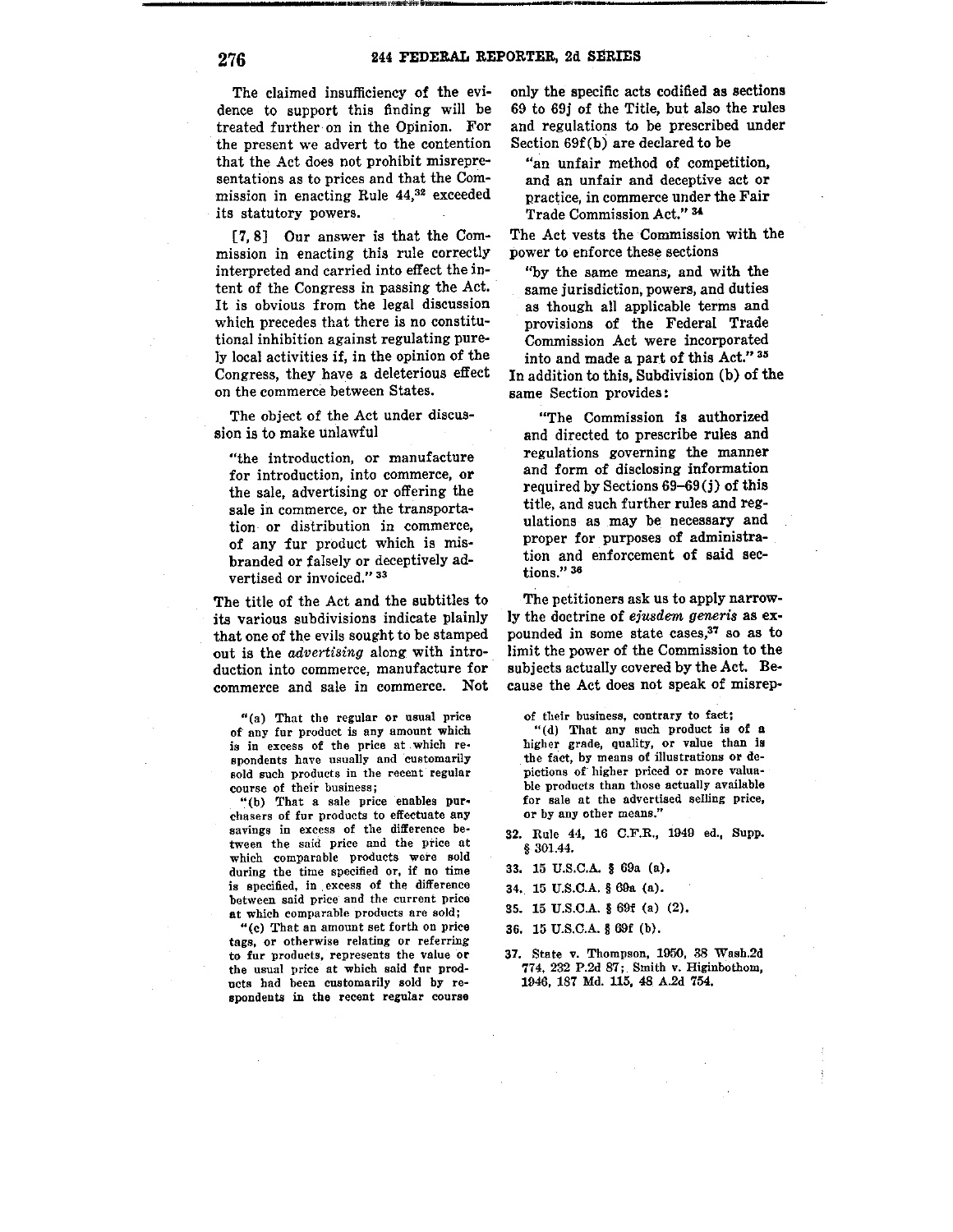recent to the constitution of the constitution of the second constitution of the second weaponent to the constitution of the constitution of the constitution of the constitution of the constitution of the constitution of t

The claimed insufficiency of the evidence to support this finding will be treated further on in the Opinion. For the present we advert to the contention that the Act does not prohibit misrepresentations as to prices and that the Commission in enacting Rule 44,32 exceeded its statutory powers.

[7, 8] Our answer is that the Commission in enacting this rule correctly interpreted and carried into effect the intent of the Congress in passing the Act. It is obvious from the legal discussion which precedes that there is no constitutional inhibition against regulating purely local activities if, in the opinion of the Congress, they have a deleterious effect on the commerce between States.

The object of the Act under discussion is to make unlawful

"the introduction, or manufacture for introduction, into commerce, or the sale, advertising or offering the sale in commerce, or the transportation- or distribution in commerce, of any fur product which is misbranded or falsely or deceptively advertised or invoiced." 33

The title of the Act and the subtitles to its various subdivisions indicate plainly that one of the evils sought to be stamped out is the *advertising* along with introduction into commerce, manufacture for commerce and sale in commerce. Not

"(a) That the regular or usual price of any fur product is any amount which is in excess of the price nt which respondents have usually and customarily sold such products in the recent regular course of their business;

"(b) That a sale price enables purchasers of fur products to effectuate any savings in excess of the difference between the said price and the price at which comparable products were sold during the time specified or, if no time is specified, in excess of the difference between said price and the current price at which comparable products are sold;

"(c) That an amount set forth on price tags, or otherwise relating or referring to fur products, represents the value or the usual price at which said fur products had been customarily sold by respondents in the recent regular course

only the specific acts codified as sections 69 to 69j of the Title, but also the rules and regulations to be prescribed under Section 69f(b) are declared to be

"an unfair method of competition, and an unfair and deceptive act or practice, in commerce under the Fair Trade Commission Act." 34

The Act vests the Commission with the power to enforce these sections

"by the same means, and with the same jurisdiction, powers, and duties as though all applicable terms and provisions of the Federal Trade Commission Act were incorporated into and made a part of this Act." 35

In addition to this, Subdivision (b) of the same Section provides:

"The Commission is authorized and directed to prescribe rules and regulations governing the manner and form of disclosing information required by Sections 69-69(j) of this title, and such further rules and regulations as may be necessary and proper for purposes of administration and enforcement of said sections." <sup>36</sup>

The petitioners ask us to apply narrowly the doctrine of *eiusdem generis* as expounded in some state cases,37 so as to limit the power of the Commission to the subjects actually covered by the Act. Because the Act does not speak of misrep-

of their business, contrary to fact;

"(d) That any such product is of a higher grade, quality, or value than is the fact, by means of illustrations or de . pictions of higher priced or more valuable products than those actually available for sale at the advertised selling price, or by any other means."

- 32. Rule 44, 16 C.F.R., 1949 ed., Supp. § 301.44.
- 33. 15 U.S.C.A. § 69a (a).
- 34. 15 U.S.C.A. § 69a (a).
- 35. 15 U.S.C.A. § 691 (a) (2).
- 36. 15 U.S.C.A. § 691 (b).
- 37. State v. Thompson, 1950, 38 Wash.2d 774, 232 P.2d 87; Smith v. Higinbotbom, 1946, 187 Md. U5, 48 A.2d 754.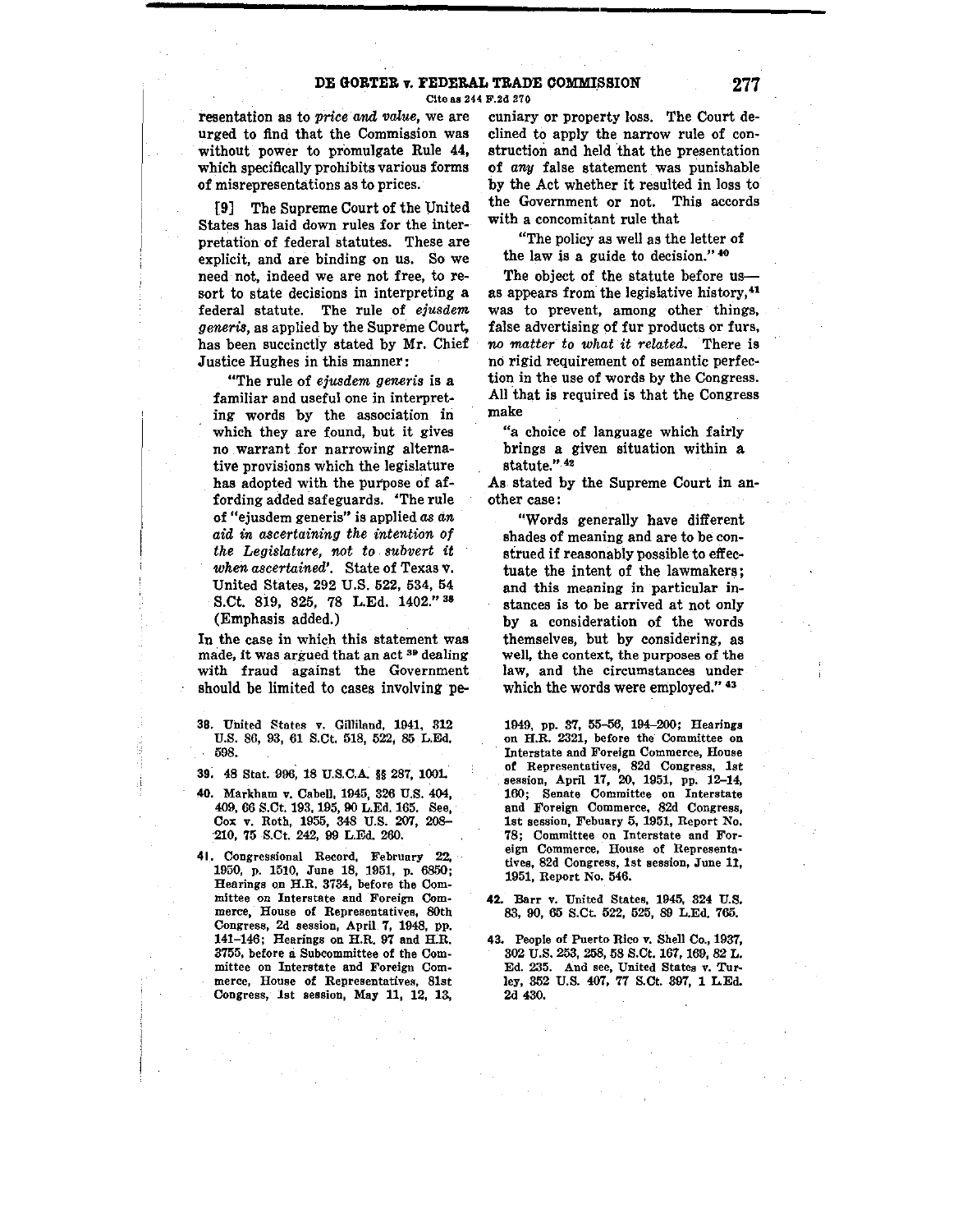resentation as to *price and value,* we are urged to find that the Commission was without power to promulgate Rule 44, which specifically prohibits various forms of misrepresentations as to prices.

[9] The Supreme Court of the Vnited States has laid down rules for the interpretation of federal statutes. These are explicit, and are binding on us. So we need not, indeed we are not free, to resort to state decisions in interpreting a federal statute. The rule of *ejusdem generis,* as applied by the Supreme Court, has been succinctly stated by Mr. Chief Justice Hughes in this manner:

uThe rule of *ejusdem generis* is a familiar and useful one in interpreting words by the association in which they are found, but it gives no warrant for narrowing alterna~ tive provisions which the legislature has adopted with the purpose of affording added safeguards. 'The rule of "ejusdem generis" is applied *as an aid in ascertaining the intention of the Legislature, not to subvert* **it**  *when ascertained'.* State of Texas **v.**  United States, 292 U.S. 522, 534, 54 S.Ct. 819, 825, 78 L.Ed. 1402." 38 (Emphasis added.)

In the case in which this statement was made, it was argued that an act 39 dealing with fraud against the Government should be limited to cases involving pe-

- 38. United States v. Gilliland, 1941, 312 U.S. 86, 93, 61 s.ct. 518, 522, 85 L.Ed, 598.
- **39,** 48 Stat. 996, 18 U.S.C.A. §§ 287, lOOL

Ă

- **40.** Markham v. Cabell, 1945, 326 U.S. 404, 409, 66 S.Ct. 193, 195, 90 L.Ed. 165. See, Cox v. Roth, 1955, 348 U.S. 207, 208-·210, 75 S.Ct. 242, 99 L.Ed. 260.
- **41.** Congressional Record, February 22. 1950, p. 1510, June 18, 1951, p. 6850; Hearings OD H.R. 3734, before the Committee on Interstate and Foreign Commerce, House of Representatives, 80th Congress, 2d session, April 7, 1948, pp. 141-146; Hearings on H.R. 97 and H.R. 3755, before a Subcommittee of the Committee on Interstate and Foreign Commerce, House of Representatives, 81st Congress, 1st session, May 11, 12, 13,

cuniary or property Joss. The Court declined to apply the narrow rule of construction and held that the presentation of *any* false statement was punishable by the Act whether it resulted in loss to the Government or not. This accords with a concomitant rule that

"The policy as well as the letter of the law is a guide to decision." <sup>40</sup>

The object of the statute before usas appears from the legislative history,<sup>41</sup> was to prevent, among other things, false advertising of fur products or furs, *no matter to what it related.* There is no rigid requirement of semantic perfection in the use of words by the Congress. All that is required is that the Congress make

"a choice of language which fairly brings a given situation within a statute." 42

As stated by the Supreme Court in another case:

"Words generally have different shades of meaning and are to be construed if reasonably possible to effectuate the intent of the lawmakers; and this meaning in particular instances is to be arrived at not only by a consideration of the words themselves, but by considering, as well, the context, the purposes of the law, and the circumstances under which the words were employed."  $43$ 

1949, pp. 37, 155-56, 194-200; Hearings on H.R. 2321, before the Committee on Interstate and Foreign Commerce, House of Representatives, 82d Congress, 1st session, April 17, 20, 1951, pp. 12-14, 160; Senate Committee on Interstate and Foreign Commerce, 82d Congress, 1st session, Febuary 5, 1951, Report No. 78; Committee on Interstate and Foreign Commerce, House of Representatives, 82d Congress, 1st session, June 11, 1951, Report No. 546.

- 42. Barr v. United States, 1945, 324 U.S. 83, 90, 65 S.Ct. 522, 525, 89 L.Ed. 765.
- 43. People of Puerto Rico v. Shell Co., 1937, 302 U.S. 253, 258, 58 S.Ct. 167, 169, 82 L. Ed. 235. And see, United States v. Turley, 352 U.S. 407, 77 S.Ct. 397, 1 L.Ed. 2d 430.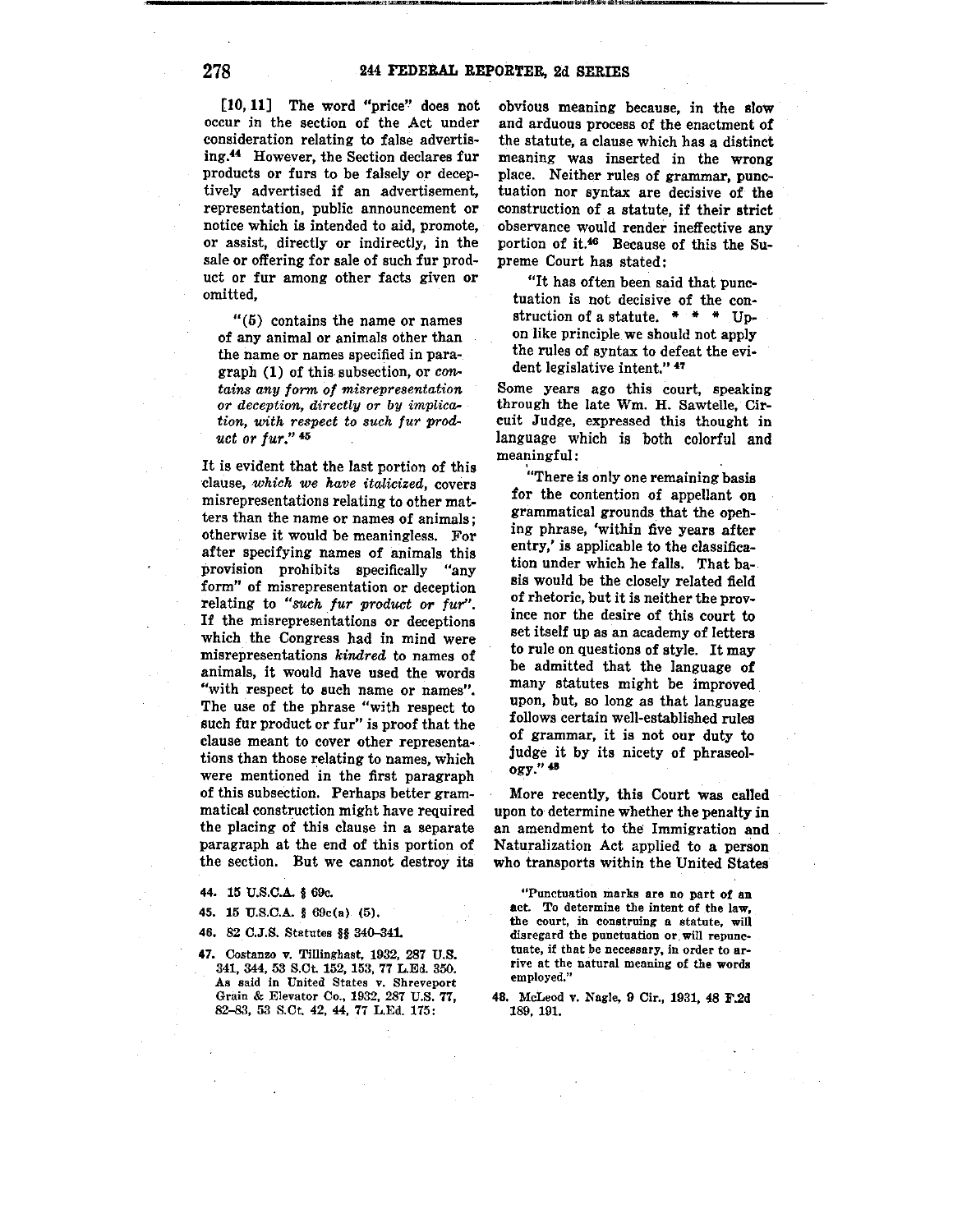[10, **11]** The word "price'' does not occur in the section of the Act under consideration relating to false advertising.44 However, the Section declares fur products or furs to be falsely or deceptively advertised if an advertisement, representation, public announcement or notice which is intended to aid, promote, or assist, directly or indirectly, in the sale or offering for sale of such fur product or fur among other facts given or omitted,

"(5) contains the name or names of any animal or animals other than the name or names specified in para~ graph (1) of this subsection, or con*tains any form of misrepresentation or deception, directly or by implication,* with *respect to such fur prod-, uct or fur."* <sup>46</sup>

It is evident that the last portion of this ·clause, *-which we have italicized,* covers misrepresentations relating to other matters than the name or names of animals; otherwise it would be meaningless. For after specifying names of animals this provision prohibits specifically "any form" of misrepresentation or deception relating to "such fur product or fur". If the misrepresentations or deceptions which the Congress had in mind were misrepresentations kindred to names of animals, it would have used the words "with respect to such name or names". The use of the phrase "with respect to such fur product or fur" is proof that the clause meant to cover other representations than those relating to names, which were mentioned in the first paragraph of this subsection. Perhaps better grammatical construction might have required the placing of this clause in a separate paragraph at the end of this portion of the section. But we cannot destroy its

**44.** 15 U.S.C.A. § 69c.

45. 15 U.S.C.A. § 69c(a) (5).

46. 82 C.J.S. Statutes §§ 340-341.

47. Costanzo v. Tillinghast. 1932, 287 U.S. 341, 344, 53 S.Ct. 152, 153, 77 L.Ed. 350. As said in United States v. Shreveport Grain & Elevator Co., 1932, 287 U.S. 77, 82-83, 53 S.Ct. 42, 44, 77 L.Ed. 175:

obvious meaning because, in the elow and arduous process of the enactment of the statute, a clause which has a distinct meaning was inserted in the wrong place. Neither rules of grammar, punctuation nor syntax are decisive of **the**  construction of a statute, if their strict observance would render ineffective any portion of it.46 Because of this the Supreme Court has stated:

"It has often been said that punctuation is not decisive of the construction of a statute.  $* * * *$  Upon like principle we should not apply the rules of syntax to defeat the evident legislative intent." 47

Some years ago this court, speaking through the late Wm. H. Sawtelle, Circuit Judge, expressed this thought in language which is both colorful and meaningful:

"There is only one remaining basis for the contention of appellant **on**  grammatical grounds that the opening phrase, 'within five Years after entry,' is applicable to the classification under which he falls. That basis would be the closely related field of rhetoric, but it is neither the province nor the desire of this court to set itself up as an academy of letters to rule on questions of style. It may be admitted that the language **of**  many statutes might be improved upon, but, so long as that language follows certain well-established rules of grammar, it is not our duty to judge it by its nicety of phraseology."  $48$ 

More recently, this Court was called upon to determine whether the penalty in an amendment to the Immigration and Naturalization Act applied to a person who transports within the United States

"Punctuation marks are no part of an act. To determine the intent of the law, the court, in construing a statute, will disregard the punctuation or will repunctuate, if that be necessary, in order to arrive at the natural meaning of the words employed."

<sup>48.</sup> McLeod v. Nagle, 9 Cir., 1931, 48 F.2d 189, 191.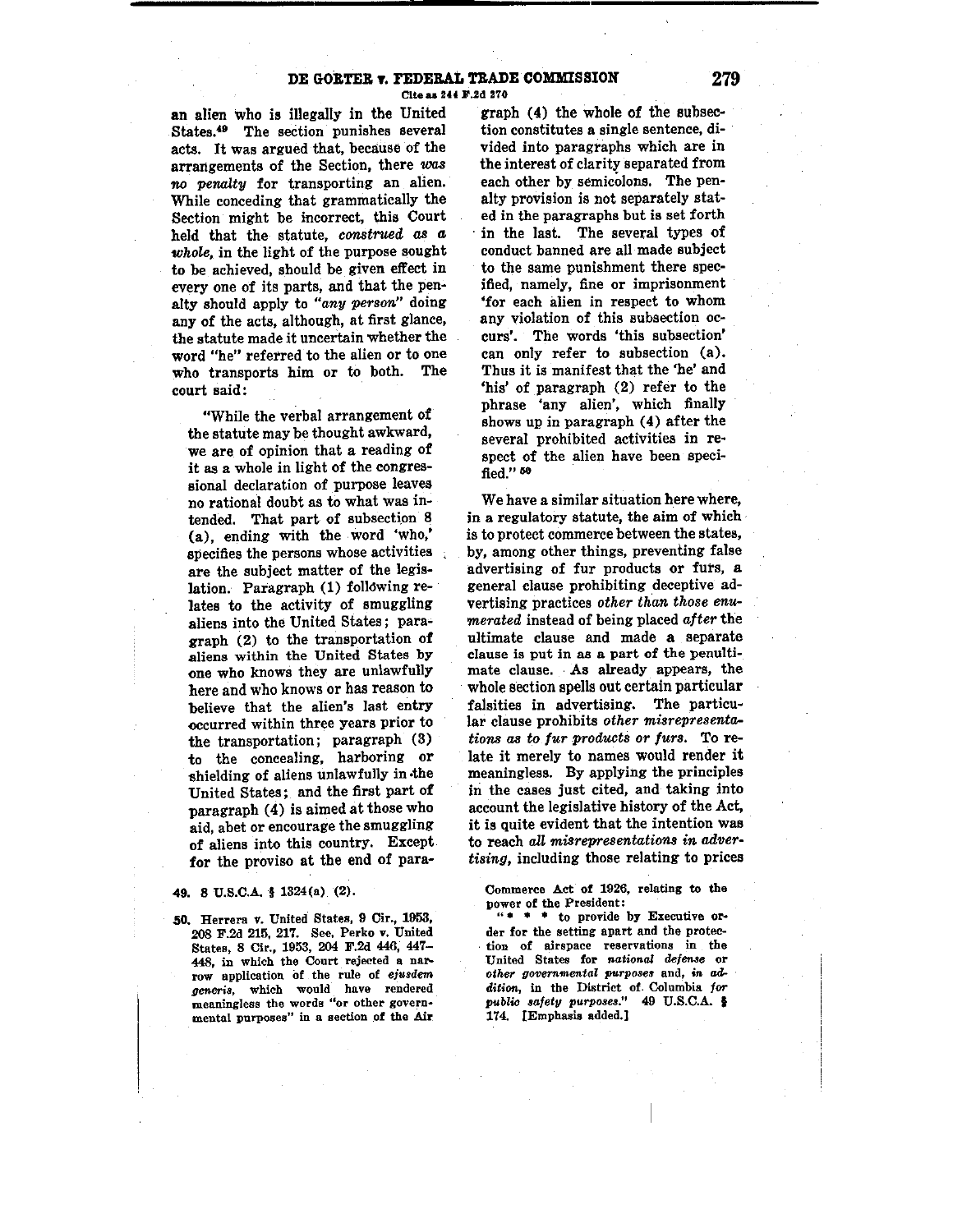### **DE GORTER v. PEDERAL TRADE COMMISSION** 279 Cite as 244 F.2d 270

**an** alien who is illegally in the United **[States.49](https://States.49) The section punishes several**  acts. It was argued that, because of the arrangements of the Section, there was *no penalty* for transporting an alien. While conceding that grammatically the Section might be incorrect, this Court held that the statute, *construed as* **a,**  *whole,* in the light of the purpose sought to be achieved, should be given effect in every one of its parts, and that the pen**alty should apply to** *"any person"* **doing**  any of the acts, although, at first glance, **the statute made it uncertain whether the**  word "he" referred to the alien or to one who transports him or to both. The court said:

"While the verbal arrangement of the statute may be thought awkward, we are of opinion that a reading of it as a whole in light of the congres**sional declaration of purpose leaves**  no rational doubt as to what was intended. That part of subsection 8 (a), ending with the word 'who,' **specifies the persons whose activities**  are the subject matter of the legislation. Paragraph (1) folldwing relates to the activity of smuggling aliens into the United States; paragraph (2) to the transportation **of aliens within the United States by**  one who knows they are unlawfully here and who knows or has reason to **believe that the alien's last entry -occurred within three years prior to**  the transportation; paragraph (3) to the concealing, harboring or shielding of aliens unlawfully in the United States; and the first part of paragraph  $(4)$  is aimed at those who **aid, abet or encourage the smuggling**  of aliens into this country. Except for the proviso at the end of para-

#### **49.** 8 U.S.C.A. § 1324(a) (2).

*SO.* **Herrera v. United States, 9 Cir., 1953, 208 F.2d 215, 217. See, Perko v. United States, 8 Cir., 1953, 204 F.2d 446, 447- 448, in which the Court rejected a narrow application Of the rule of ejusdem generis, which would have rendered meaningless the words "or other govern• mental purposes" in a section of the Air.** 

graph (4) the whole of the subsec**tion constitutes a single sentence, di-** · vided into paragraphs which are in the interest of clarity separated from each other by semicolons. The penalty provision is not separately stated in the paragraphs but is set forth in the last. The several types of conduct banned are all made subject to the same punishment there specified, namely, fine or imprisonment **•for each 8.lien in respect to whom**  any violation of this subsection oc**curs'. The words 'this subsection'**  can only refer to subsection (a). Thus it is manifest that the 'he' and 'his' of paragraph (2) refer to the **phrase 'any alien', which finally**  shows up in paragraph (4) after the several prohibited activities in respect of the alien have been speci**fied."** <sup>60</sup>

We have a similar situation here where, in a regulatory statute, the aim of which is to protect commerce between the states, by, among other things, preventing false **advertising of fur products or furs, a**  general clause prohibiting deceptive advertising practices *other than those enumerated* instead of being placed *after* the ultimate clause and made a separate **clause is put in as a part of the penultimate clause. As already appears, the**  whole section spells out certain particular falsities in advertising. The particu**lar clause prohibits** *other misrepresentations as to fur products or furs.* To relate it merely to names would render it meaningless. By applying the principles in the cases just cited, and taking into account the legislative history of the Act, it is quite evident that the intention was to reach all misrepresentations in adver*tising,* including those relating to prices

**Commerce Act of 1926, relating to the power of the President:** 

" • • • **to provide by Executive order for the setting apart and the protec. tion of airspace reservations in the**  United States for *national defense* or  $other$  governmental purposes and, in ad*dition,* **in the District of. Columbia for**  *publio safety purposes."* **49 U.S.C.A. t**  174. [Emphasis added,]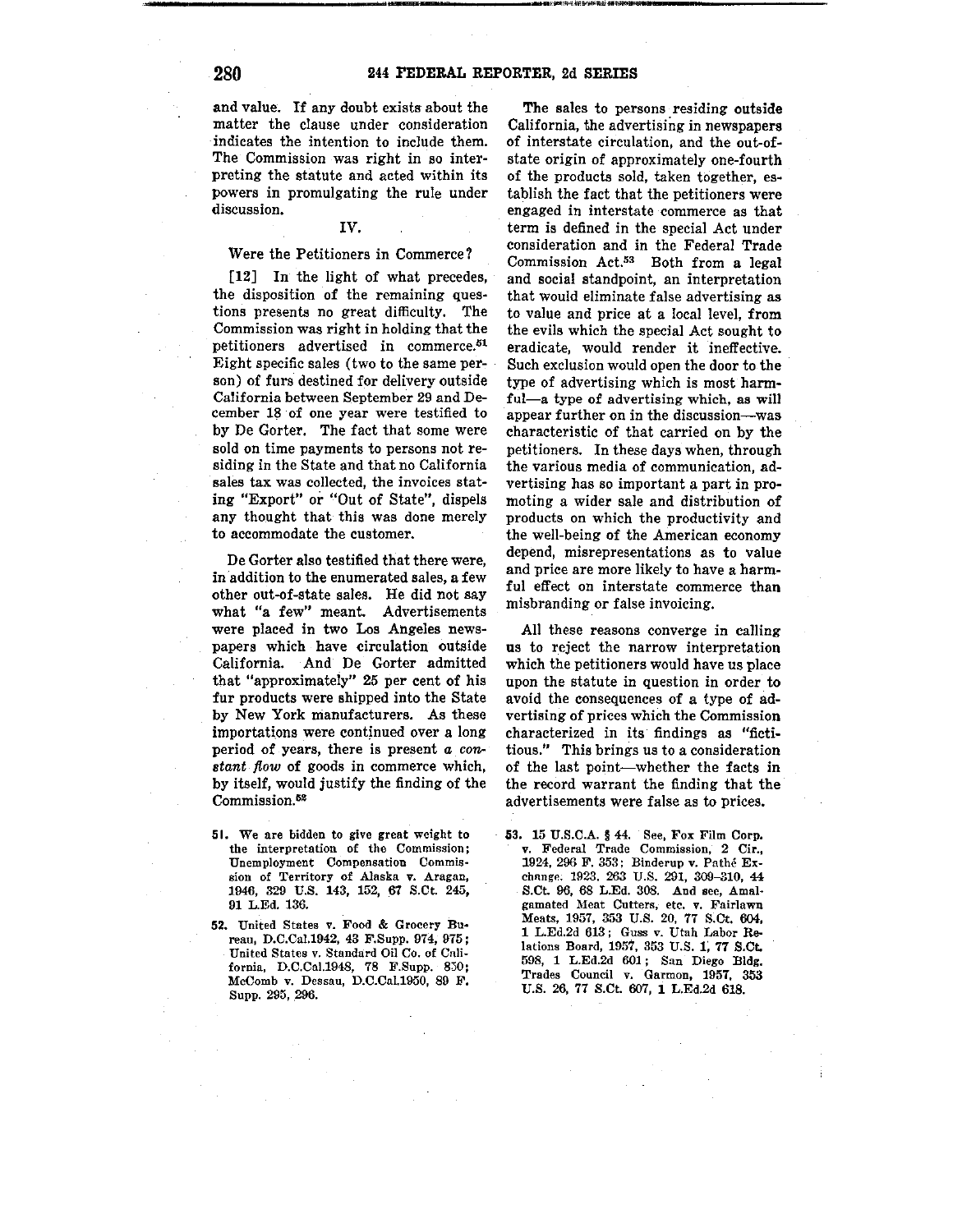and value. If any doubt exists about the matter the clause under consideration indicates the intention to include them. The Commission was right in so interpreting the statute and acted within its powers in promulgating the rule under discussion.

## IV.

### Were the Petitioners in Commerce?

[12] In the light of what precedes, the disposition of the remaining questions presents no great difficulty. The Commission was right in holding that the petitioners advertised in [commerce.](https://commerce.61)<sup>51</sup> Eight specific sales ( two to the same person) of furs destined for delivery outside California between September 29 and December 18 ·of one year were testified to by De Gorter. The fact that some were sold on time payments to persons not residing in the State and that no California sales tax was collected, the invoices stating "Export" or "Out of State", dispels any thought that this was done merely to accommodate the customer.

De Gorter also testified that there were, in addition to the enumerated sales, a few other out-of-state sales. He did not say what "a few" meant. Advertisements were placed in two Los Angeles newspapers which have circulation outside California. And De Gorter admitted that "approximately" 25 per cent of his fur products were shipped into the State by New York manufacturers. As these importations were continued over a long period of years, there is present *a con stant flow* of goods in commerce which, by itself, would justify the finding of the Commission.<sup>52</sup>

- 51. We are bidden to give great weight to the interpretation of the Commission; Unemployment Compensation Commis• sion of Territory of Alaska v. Aragan, 1946, 329 U.S. 143, 152, 67 S.Ct 245, 01 L.Ed. 136.
- 52. United States v. Food & Grocery Bu• reau, D.C.Cu!.1942, 43 F.Supp. 974, 975; United States v. Standard Oil Co. of Cali• fornia, D.C.Cal.1948, 78 F.Supp. 830; McComb v. Dessau, D.C.Cal.1950, 89 F. Supp. 295, 296.

The sales to persons residing outside California, the advertising in newspapers of interstate circulation, and the out-ofstate origin of approximately one-fourth of the products sold, taken together, establish the fact that the petitioners were engaged in interstate commerce as that term is defined in the special Act under consideration and in the Federal Trade Commission Act.53 Both from a legal and social standpoint, an interpretation that would eliminate false advertising as to value and price at a local level, from the evils which the special Act sought to eradicate, would render it ineffective. Such exclusion would open the door to the type of advertising which is most harmful-a type of advertising which, as will appear further on in the discussion--was characteristic of that carried on by the petitioners. In these days when, through the various media of communication, advertising has so important a part in promoting a wider sale and distribution of products on which the productivity and the well-being of the American economy depend, misrepresentations as to value and price are more likely to have a harmful effect on interstate commerce than misbranding or false invoicing.

All these reasons converge in calling us to reject the narrow interpretation which the petitioners would have us place upon the statute in question in order to avoid the consequences of a type of advertising of prices which the Commission characterized in its findings as "fictitious." This brings us to a consideration of the last point-whether the facts in the record warrant the finding that the advertisements were false as to prices.

53, 15 U.S.C.A. § 44. See, Fox Film Corp. v. Federal Trade Commission, 2 Cir., 1924, 296 F. 353; Binderup v. Pathe Exchange. 1923, 263 U.S. 291, 309-310, 44 S.Ct. 96, 68 L.Ed. 308. And see, Amalgamated Meat Cutters, etc. v. Fairlawn Meats, 1957, 353 U.S. 20, 77 S.Ct. 604, 1 L.Ed.2d 613; Guss v. Utah Labor Relations Board, 1957, 353 U.S. 1; 77 \$.Ct. 508, 1 L.Ed.2d 601 ; San Diego Bldg. Trades Council v. Garmon, 1957, 353 U.S. 26, 77 S.Ct. 607, 1 L.Ed.2d 618.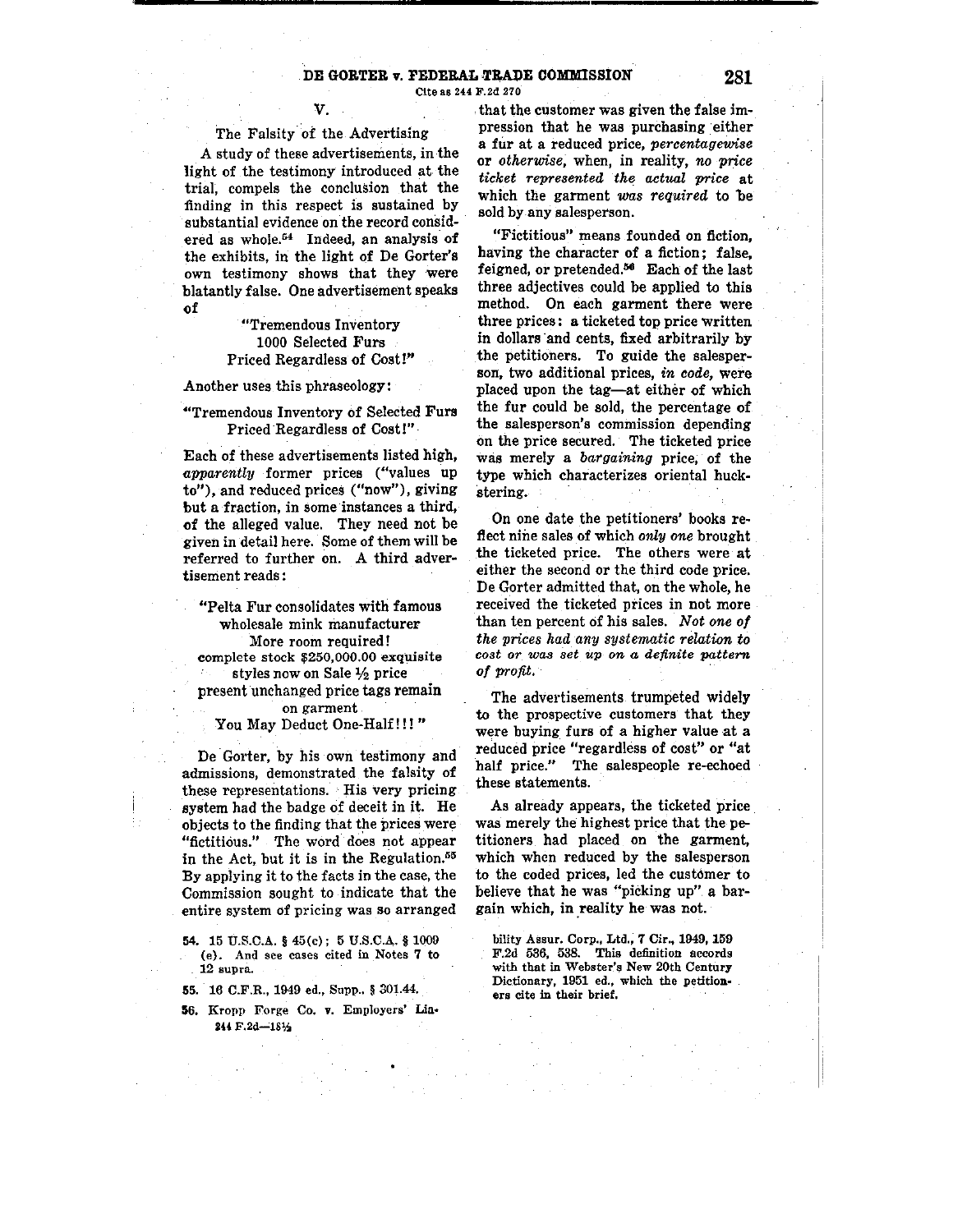## **DE GORTER v. FEDERAL TRADE COMMISSION 281**

**Cite as 244 F.2d 270** 

## **V.**

## The Falsity of the Advertising

A study of these advertisements, in the light of the testimony introduced at the trial, compels the conclusion that the **finding in this respect is sustained by**  substantial evidence on the record considered as whole.<sup>54</sup> Indeed, an analysis of the exhibits, in the light of De Gorter's own testimony shows that they were blatantly false. One advertisement speaks of

> **"Tremendous Inventory**  1000 Selected Furs Priced Regardless of Cost!"

Another uses this phraseology:

## "Tremendous Inventory of Selected Furs Priced Regardless of Cost!"

Each of these advertisements listed high, **apparently** former prices ("values up **to"), and reduced prices ("now"), giving but a fraction, in some instances a third,**  of the alleged value. They need not be given in detail here. Some of them will be referred to further on. A third advertisement reads:

"Pelta Fur consolidates with famous wholesale mink manufacturer **More room required! complete stock \$[250,000.00](https://250,000.00) exquisite**  styles now on Sale ½ price present unchanged price tags remain **on garment**  You May Deduct One-Half!!! "

De Gorter, by his own testimony and **admissions, demonstrated the falsity of these representations. His very pricing**  system had the badge of deceit in it. He objects to the finding that the prices were "fictitious." The word does not appear in the Act, but it is in the Regulation. $55$ By applying it to the facts in the case, the Commission sought to indicate that the **entire system of pricing was so arranged** 

- **54.** 15 U.S.C.A. § 45(c); 5 U.S.C.A. § 1009 **(e). And see cases cited in Notes 7 to**  . **12 supra.**
- **55.** 16 C.F.R., 1949 ed., Supp., § 301.44.
- **56. Kropp Forge Co. v. Employers' Lfa•**  244 F.2d-181/2

that the customer was given the false impression that he was purchasing either **a fti.r at a reduced price,** *percentagewise*  **or** *otherwise~* **when, in reality,** *no price ticket represented the actual price* at which the garment *was required* to be sold by any salesperson.

**"Fictitious" means founded on fiction,**  having the character of a fiction: false, feigned, or [pretended.](https://pretended.06)<sup>56</sup> Each of the last three adjectives could be applied to this method. On each garment there were three prices: a ticketed top price written in dollars ·and cents, fixed arbitrarily by the petitioners. To guide the salesper**son, two additional prices,** *in code,* **were**  placed upon the tag-at either of which the fur could be sold, the percentage of **the salesperson's commission depending**  on the price secured. The ticketed price was merely a *bargaining* price; of the type which characterizes oriental huck**stering.** 

On one date the petitioners' books **re**flect nine sales of which *only one* brought the ticketed price. The others were at either the second or the third code price. De Gorter admitted that, on the whole, he received the ticketed prices in not more than ten percent of his sales. *Not one of the prices had any systematic relation to cost or. was set up on a definite pattern of profit.* 

The advertisements trumpeted **widely**  to the prospective customers that they **were buying furs of a higher value at a**  reduced price "regardless of cost" or "at **half price.'" The salespeople re-echoed**  these statements.

As already appears, the ticketed price was merely the highest price that the petitioners had placed on the garment, which when reduced by the salesperson to the coded prices, led the customer to believe that he was "picking up" a bargain which, in reality he was not.

**bility Assur. Corp., Ltd., 7 Cir., 1949, 159 F.2d 536, 538. This definition accords**  with that in Webster's New 20th Century **Dictionary, 1951 ed., which the petitioners cite in their brief.**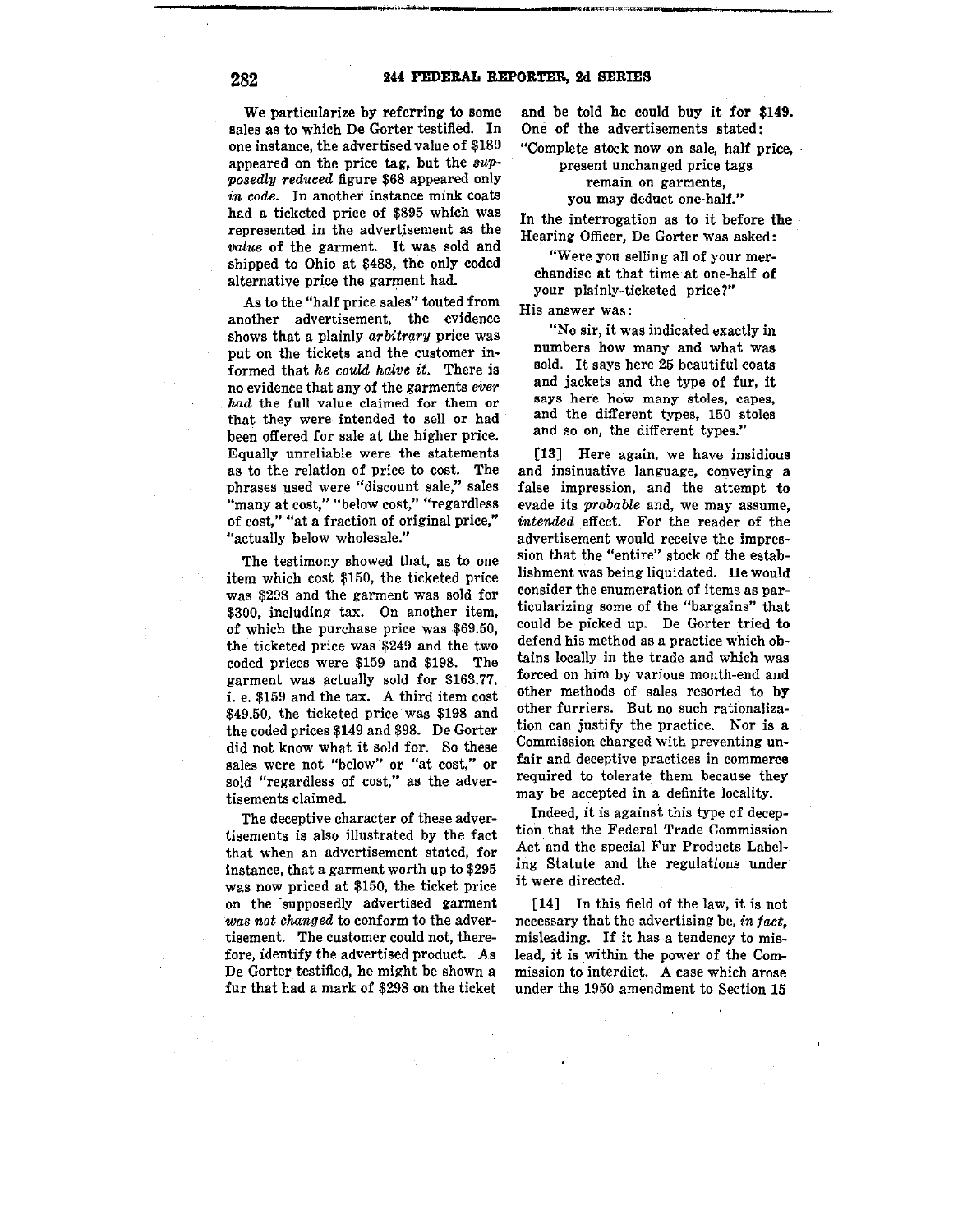We particularize by referring to some sales as to which De Gorter testified. In one instance, the advertised value of \$189 appeared on the price tag, but the sup*posedly reduced* figure \$68 appeared only *in code.* In another instance mink coats had a ticketed price of \$895 which was represented in the advertisement as the *'Value* of the garment. It was sold and shipped to Ohio at \$488, the only coded alternative price the garment had.

As to the "half price sales" touted from **another advertisement, the evidence**  shows that a plainly *arbitrary* price was put on the tickets and the customer informed that *he could halve it.* There is no evidence that any of the garments *ever had* **the full value claimed for them or**  that they were intended to sell or had been offered for sale at the higher price. **Equally unreliable were the statements**  as to the relation of price to cost. The **phrases used were "discount sale," sales "many at cost," "below cost," "regardless of cost,'' "at a fraction of original price," "actually below wholesale."** 

The testimony showed that, as to one item which cost \$150, the ticketed price was \$298 and the garment was sold for \$300, including tax. On another item, of which the purchase price was \$69.50, the ticketed price was \$249 and the two coded prices were \$159 and \$198. The garment was actually sold for \$163.77, i. e. \$159 and the tax. A third item cost \$49.50, the ticketed price was \$198 and the coded prices \$149 and \$98. De Gorter did not know what it sold for. So these **sales were not "below" or "at cost," or sold "regardless of cost," as the adver**tisements claimed.

The deceptive character of these advertisements is also illustrated by the fact that when an advertisement stated, for instance, that a garment worth up to \$295 was now priced at \$150, the ticket price on the 'supposedly advertised garment *was not changed* to conform to the adver**tisement. The customer could not, there**fore, identify the advertised product. As De Gorter testified, he might be shown a fur that had a mark of \$298 on the ticket

and be told he could buy it for **\$149.**  One of the advertisements stated:

**"Complete stock now on sale, half price,** • **present unchanged price tags** 

## **remain on garments, you may deduct one-half."**

In the interrogation as to it before **the Hearing Officer, De Gorter was asked:** 

**"Were you selling all of your mer**chandise at that time at one-half **of your plainly-ticketed price?"** 

**His answer was:** 

**"No sir, it was indicated exactly in numbers how many and what was**  sold. It says here 25 beautiful coats and jackets and the type of fur, it **says here hoW many stoles, capes,**  and the different types, 150 stoles **and so on, the different types."** 

[13] Here again, we have insidious and insinuative language, conveying a false impression, and the attempt to **evade its** *probable* **and, we may assume,**  *intended* effect. For the reader of the **advertisement would receive the impres**sion that the "entire" stock of the establishment was being liquidated. He would **consider the enumeration of items as particularizing some of the "bargains" that**  could be picked up. De Gorter tried to defend his method as a practice which obtains locally in the trade and which was **forced on him by various month-end and**  other methods of sales resorted to by **other furriers. But no such rationaliza**tion can justify the practice. Nor is a **Commission charged with preventing unfair and deceptive practices in commerce**  required to tolerate them because they may be accepted in a definite locality.

Indeed, it is against this type of deception that the Federal Trade Commission Act and the special Fur Products Labeling Statute and the regulations under **it were directed.** 

**[14]** In this field of the law, it is not necessary that the advertising be, *in fact,*  misleading. If it has a tendency to mislead, it is within the power of the Com**mission to interdict. A case which arose**  under the 1950 amendment to Section **15**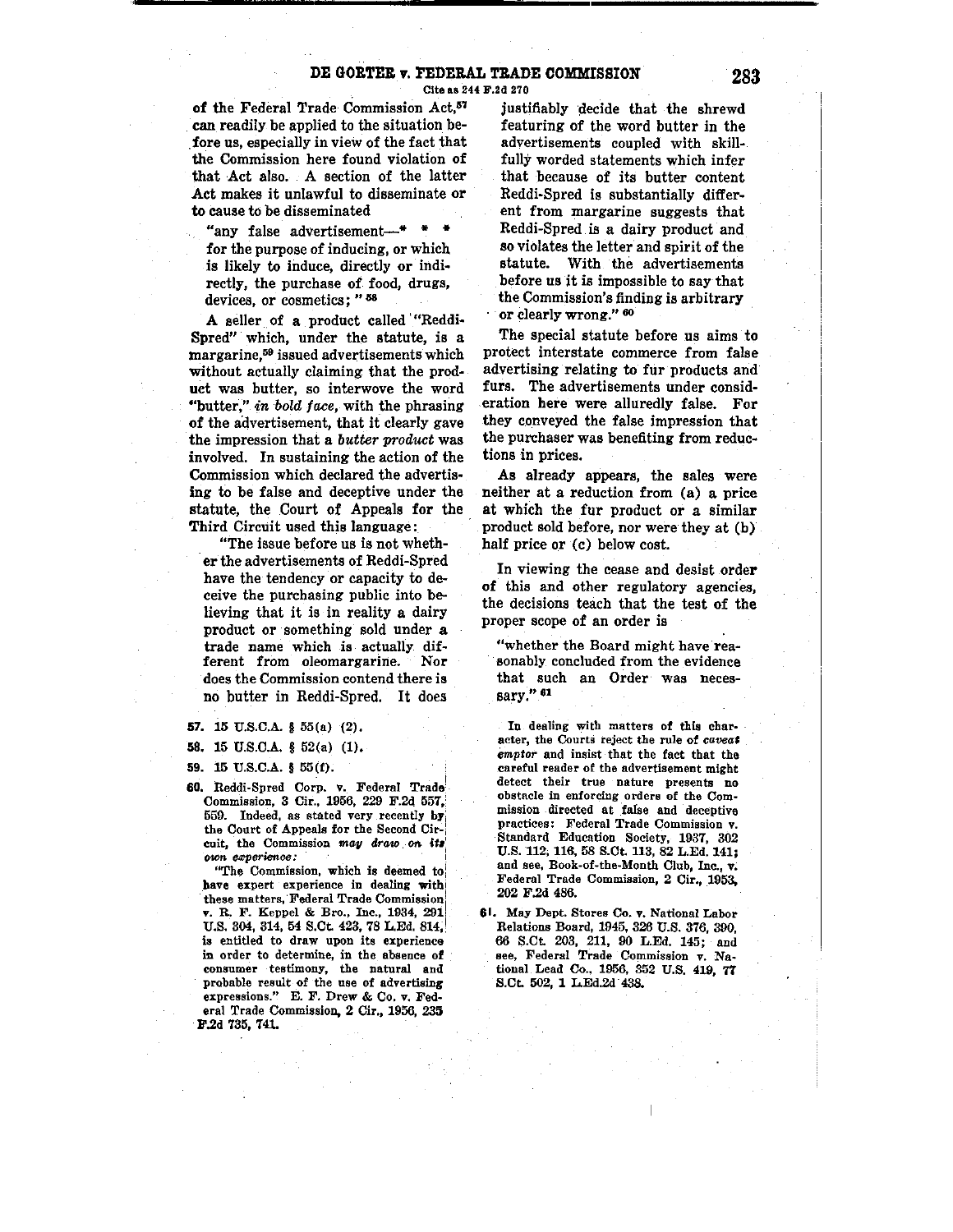# DE GORTER v. FEDERAL TRADE COMMISSION **283**

Cite as 244 F.2d 270

of the Federal Trade Commission Act.<sup>57</sup> can readily be applied to the situation be fore us, especially in view of the fact that the Commission here found violation of that Act also. A section of the latter Act makes it unlawful to disseminate or to cause to be disseminated

"any false advertisement-<sup>\*</sup> for the purpose of inducing, or which is likely to induce, directly or indirectly, the purchase of food, drugs, devices, or cosmetics; "58

A seller of a product called '"Reddi-Spred" which, under the statute, is a margarine,59 issued advertisements which without actually claiming that the product was butter, so interwove the word ' 4 butter," *in bold face,* with the phrasing of the advertisement, that it clearly gave the impression that a *butter product* was involved. In sustaining the action of the Commission which declared the advertising to be false and deceptive under the statute, the Court of Appeals for the Third Circuit used this language:

"The issue before us is not whether the advertisements of Reddi-Spred have the tendency or capacity to deceive the purchasing public into believing that it is in reality a dairy product or something sold under a trade name which is actually different from oleomargarine. Nor does the Commission contend there is no butter in Reddi-Spred. It does

- **57.** 15 U.S.C.A. § 55(a) (2),
- 58. 15 U.S.C.A. § 52(a) (1).

59.  $15 \text{ U.S.C.A. }$  §  $55(f)$ .

60. Reddi-Spred Corp. v. Federal Trade Commission, 3 Cir., 1956, 229 F.2d 557, 559. Indeed, as stated very recently by the Court of Appeals for the Second Circuit, the Commission may draw on its  *experience :* 

"The Commission, which is deemed to have expert experience in dealing with these matters, Federal Trade Commission v. R. F. Keppel & Bro., Inc., 1934, 2911 U.S. 304, 314, 54 S.Ct. 423, 78 L.Ed. 814, is entitled to draw upon its experience in order to determine, in the absence of consumer testimony, the natural and probable result of the use of advertising expressions." E. F. Drew & Co. v. Federal Trade Commission, 2 Cir., 1956, 235 F.2d 735, 741.

justifiably decide that the shrewd featuring of the word butter in the advertisements coupled with skillfully worded statements which infer that because of its butter content Reddi-Spred is substantially different from margarine suggests that Reddi-Spred is a dairy product and *so* violates the letter and spirit of the statute. With the advertisements before us it is impossible to say that the Commission's finding is arbitrary or clearly wrong." <sup>60</sup>

The special statute before us aims to protect interstate commerce from false advertising relating to fur products and furs. The advertisements under consideration here were alluredly false. For they conveyed the false impression that the purchaser was benefiting from reductions in prices.

As already appears, the sales were neither at a reduction from (a) a price at which the fur product or a similar product sold before, nor were they at (b) half price or (c) below cost.

In viewing the cease and desist order of this and other regulatory agencies, the decisions teach that the test of the proper scope of an order is

"whether the Board might have reasonably concluded from the evidence that such an Order was necessary." 81

In dealing with matters of this character, the Courts reject the rule of *caveat emptor* and insist that the fact that the careful reader of the advertisement might detect their true nature presents no obstacle in enforcing orders of the Com• mission .directed at false and deceptive practices: Federal Trade Commission v. Standard Education Society, 1937, 302 U.S. 112, 116, 58 S.Ct. 113, 82 L.Ed. 141; and see, Book-of-the-Month Club, Inc., v. Federal Trade Commission, 2 Cir,, 1953, 202 F .2d 486.

61. May Dept. Stores Co. v. National Labor Relations Board, 1945, 326 U.S. 376, 390, 66 S.Ct 203, 211, 90 L.Ed. 145; and see, Federal Trade Commission v. Na~ tional Lead Co., 1956, 352 U.S. 419, 77 S.Ct 502, 1 L.Ed.2d. 438.